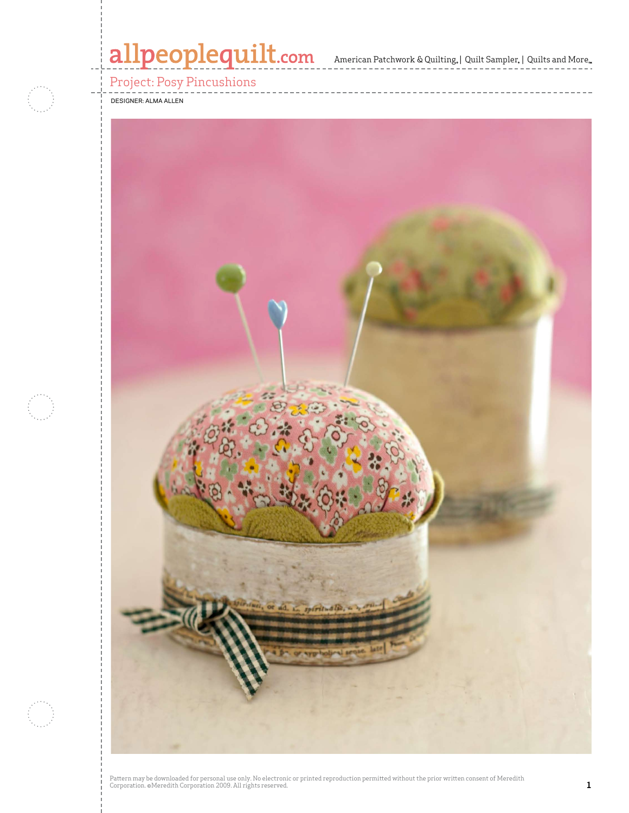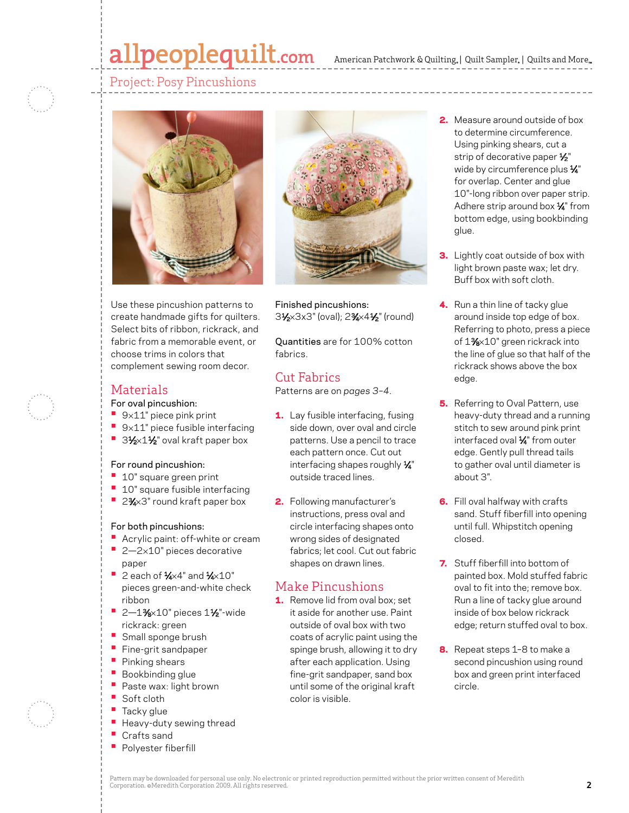## allpeoplequilt.com

### Project: Posy Pincushions



Use these pincushion patterns to create handmade gifts for quilters. Select bits of ribbon, rickrack, and fabric from a memorable event, or choose trims in colors that complement sewing room decor.

### Materials

#### For oval pincushion:

- **•**  <sup>9</sup>×11" piece pink print
- **•**  <sup>9</sup>×11" piece fusible interfacing
- 31⁄2×11⁄2" oval kraft paper box

#### For round pincushion:

- **•**  10" square green print
- <sup>•</sup> 10" square fusible interfacing
- 2%×3" round kraft paper box

#### For both pincushions:

- **•**  Acrylic paint: off-white or cream
- 2-2×10" pieces decorative paper
- **•**  2 each of 1⁄4×4" and 1⁄4×10" pieces green-and-white check ribbon
- **2—1%×10"** pieces 1½"-wide rickrack: green
- **•** Small sponge brush
- **•**  Fine-grit sandpaper
- **Pinking shears**
- **Bookbinding glue**
- Paste wax: light brown
- **•**  Soft cloth
- Tacky glue
- Heavy-duty sewing thread
- Crafts sand
- **•**  Polyester fiberfill



Finished pincushions: 31⁄2×3x3" (oval); 23⁄4×41⁄2" (round)

Quantities are for 100% cotton fabrics.

## Cut Fabrics

Patterns are on *pages 3–4*.

- 1. Lay fusible interfacing, fusing side down, over oval and circle patterns. Use a pencil to trace each pattern once. Cut out interfacing shapes roughly  $\frac{1}{4}$ " outside traced lines.
- 2. Following manufacturer's instructions, press oval and circle interfacing shapes onto wrong sides of designated fabrics; let cool. Cut out fabric shapes on drawn lines.

## Make Pincushions

1. Remove lid from oval box; set it aside for another use. Paint outside of oval box with two coats of acrylic paint using the spinge brush, allowing it to dry after each application. Using fine-grit sandpaper, sand box until some of the original kraft color is visible.

- 2. Measure around outside of box to determine circumference. Using pinking shears, cut a strip of decorative paper  $\frac{1}{2}$ " wide by circumference plus X" for overlap. Center and glue 10"-long ribbon over paper strip. Adhere strip around box  $\frac{1}{4}$ " from bottom edge, using bookbinding glue.
- **3.** Lightly coat outside of box with light brown paste wax; let dry. Buff box with soft cloth.
- 4. Run a thin line of tacky glue around inside top edge of box. Referring to photo, press a piece of 1%×10" green rickrack into the line of glue so that half of the rickrack shows above the box edge.
- **5.** Referring to Oval Pattern, use heavy-duty thread and a running stitch to sew around pink print interfaced oval 1/4" from outer edge. Gently pull thread tails to gather oval until diameter is about 3".
- **6.** Fill oval halfway with crafts sand. Stuff fiberfill into opening until full. Whipstitch opening closed.
- **7.** Stuff fiberfill into bottom of painted box. Mold stuffed fabric oval to fit into the; remove box. Run a line of tacky glue around inside of box below rickrack edge; return stuffed oval to box.
- 8. Repeat steps 1-8 to make a second pincushion using round box and green print interfaced circle.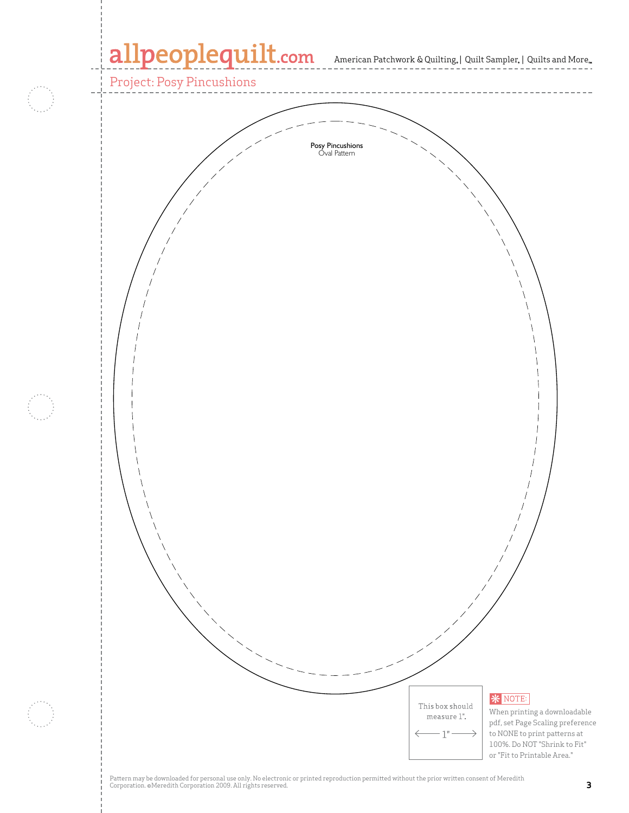# allpeoplequilt.com American Patchwork & Quilting, | Quilt Sampler, | Quilts and More...